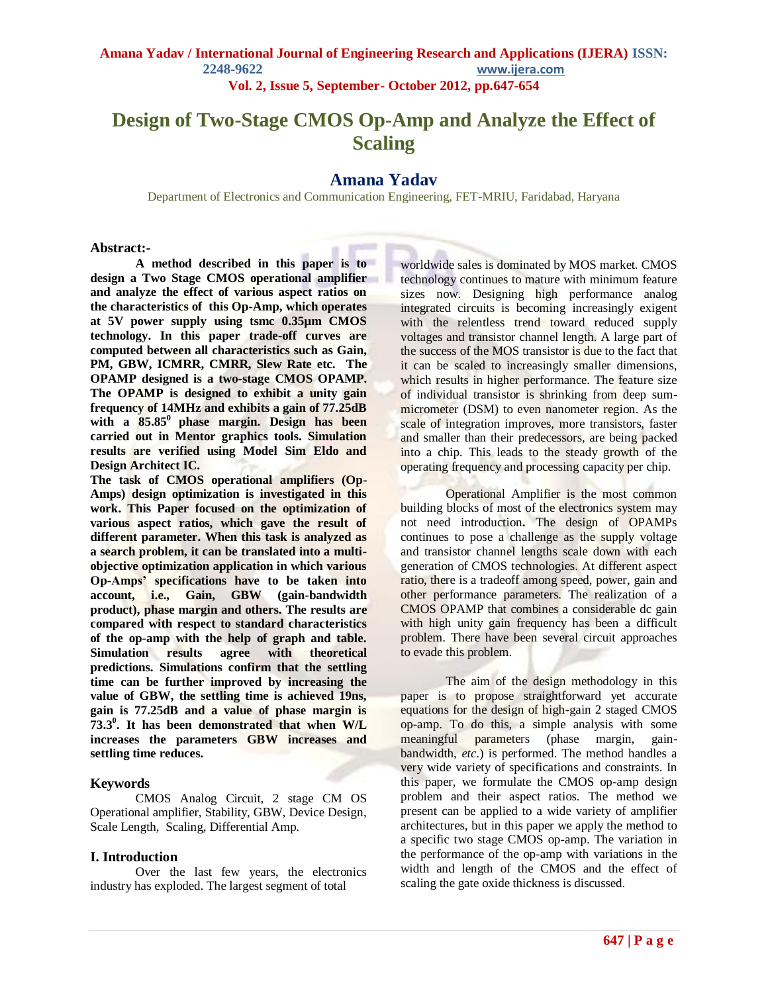# **Design of Two-Stage CMOS Op-Amp and Analyze the Effect of Scaling**

### **Amana Yadav**

Department of Electronics and Communication Engineering, FET-MRIU, Faridabad, Haryana

#### **Abstract:-**

**A method described in this paper is to design a Two Stage CMOS operational amplifier and analyze the effect of various aspect ratios on the characteristics of this Op-Amp, which operates at 5V power supply using tsmc 0.35µm CMOS technology. In this paper trade-off curves are computed between all characteristics such as Gain,**  PM, GBW, ICMRR, CMRR, Slew Rate etc. The **OPAMP designed is a two-stage CMOS OPAMP. The OPAMP is designed to exhibit a unity gain frequency of 14MHz and exhibits a gain of 77.25dB**  with a  $85.85^{\circ}$  phase margin. Design has been **carried out in Mentor graphics tools. Simulation results are verified using Model Sim Eldo and Design Architect IC.**

**The task of CMOS operational amplifiers (Op-Amps) design optimization is investigated in this work. This Paper focused on the optimization of various aspect ratios, which gave the result of different parameter. When this task is analyzed as a search problem, it can be translated into a multiobjective optimization application in which various Op-Amps' specifications have to be taken into account, i.e., Gain, GBW (gain-bandwidth product), phase margin and others. The results are compared with respect to standard characteristics of the op-amp with the help of graph and table. Simulation results agree with theoretical predictions. Simulations confirm that the settling time can be further improved by increasing the value of GBW, the settling time is achieved 19ns, gain is 77.25dB and a value of phase margin is 73.3<sup>0</sup> . It has been demonstrated that when W/L increases the parameters GBW increases and settling time reduces.**

### **Keywords**

CMOS Analog Circuit, 2 stage CM OS Operational amplifier, Stability, GBW, Device Design, Scale Length, Scaling, Differential Amp.

### **I. Introduction**

Over the last few years, the electronics industry has exploded. The largest segment of total

worldwide sales is dominated by MOS market. CMOS technology continues to mature with minimum feature sizes now. Designing high performance analog integrated circuits is becoming increasingly exigent with the relentless trend toward reduced supply voltages and transistor channel length. A large part of the success of the MOS transistor is due to the fact that it can be scaled to increasingly smaller dimensions, which results in higher performance. The feature size of individual transistor is shrinking from deep summicrometer (DSM) to even nanometer region. As the scale of integration improves, more transistors, faster and smaller than their predecessors, are being packed into a chip. This leads to the steady growth of the operating frequency and processing capacity per chip.

Operational Amplifier is the most common building blocks of most of the electronics system may not need introduction**.** The design of OPAMPs continues to pose a challenge as the supply voltage and transistor channel lengths scale down with each generation of CMOS technologies. At different aspect ratio, there is a tradeoff among speed, power, gain and other performance parameters. The realization of a CMOS OPAMP that combines a considerable dc gain with high unity gain frequency has been a difficult problem. There have been several circuit approaches to evade this problem.

The aim of the design methodology in this paper is to propose straightforward yet accurate equations for the design of high-gain 2 staged CMOS op-amp. To do this, a simple analysis with some meaningful parameters (phase margin, gainbandwidth, *etc*.) is performed. The method handles a very wide variety of specifications and constraints. In this paper, we formulate the CMOS op-amp design problem and their aspect ratios. The method we present can be applied to a wide variety of amplifier architectures, but in this paper we apply the method to a specific two stage CMOS op-amp. The variation in the performance of the op-amp with variations in the width and length of the CMOS and the effect of scaling the gate oxide thickness is discussed.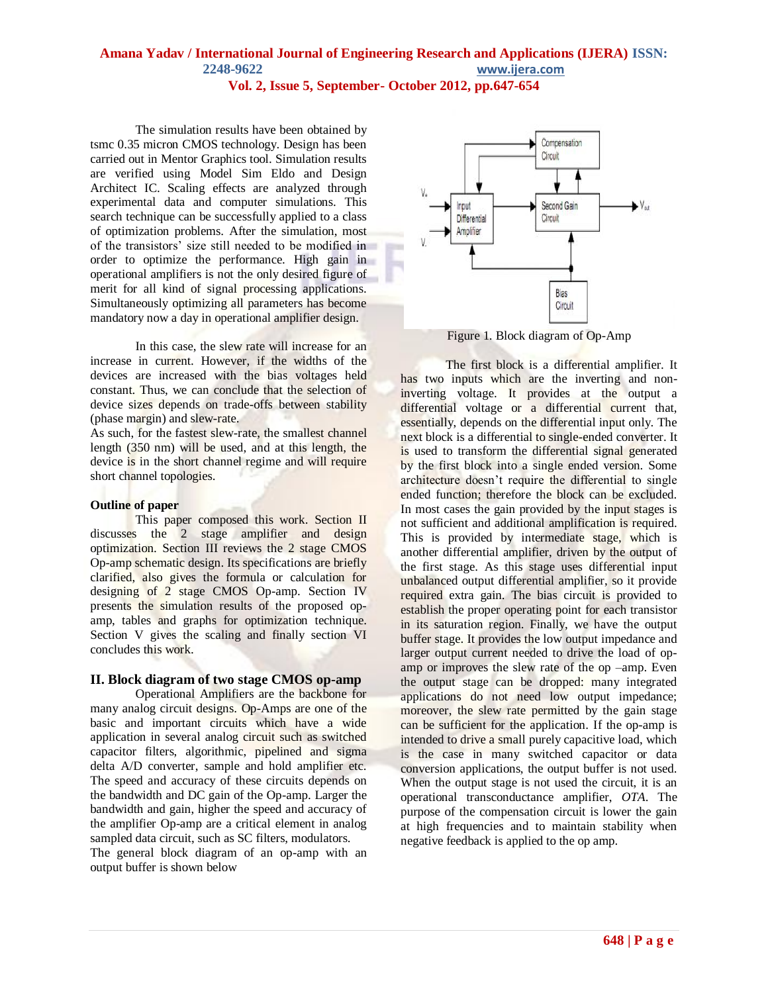The simulation results have been obtained by tsmc 0.35 micron CMOS technology. Design has been carried out in Mentor Graphics tool. Simulation results are verified using Model Sim Eldo and Design Architect IC. Scaling effects are analyzed through experimental data and computer simulations. This search technique can be successfully applied to a class of optimization problems. After the simulation, most of the transistors' size still needed to be modified in order to optimize the performance. High gain in operational amplifiers is not the only desired figure of merit for all kind of signal processing applications. Simultaneously optimizing all parameters has become mandatory now a day in operational amplifier design.

In this case, the slew rate will increase for an increase in current. However, if the widths of the devices are increased with the bias voltages held constant. Thus, we can conclude that the selection of device sizes depends on trade-offs between stability (phase margin) and slew-rate.

As such, for the fastest slew-rate, the smallest channel length (350 nm) will be used, and at this length, the device is in the short channel regime and will require short channel topologies.

### **Outline of paper**

This paper composed this work. Section II discusses the 2 stage amplifier and design optimization. Section III reviews the 2 stage CMOS Op-amp schematic design. Its specifications are briefly clarified, also gives the formula or calculation for designing of 2 stage CMOS Op-amp. Section IV presents the simulation results of the proposed opamp, tables and graphs for optimization technique. Section V gives the scaling and finally section VI concludes this work.

### **II. Block diagram of two stage CMOS op-amp**

Operational Amplifiers are the backbone for many analog circuit designs. Op-Amps are one of the basic and important circuits which have a wide application in several analog circuit such as switched capacitor filters, algorithmic, pipelined and sigma delta A/D converter, sample and hold amplifier etc. The speed and accuracy of these circuits depends on the bandwidth and DC gain of the Op-amp. Larger the bandwidth and gain, higher the speed and accuracy of the amplifier Op-amp are a critical element in analog sampled data circuit, such as SC filters, modulators.

The general block diagram of an op-amp with an output buffer is shown below



Figure 1. Block diagram of Op-Amp

The first block is a differential amplifier. It has two inputs which are the inverting and noninverting voltage. It provides at the output a differential voltage or a differential current that, essentially, depends on the differential input only. The next block is a differential to single-ended converter. It is used to transform the differential signal generated by the first block into a single ended version. Some architecture doesn't require the differential to single ended function; therefore the block can be excluded. In most cases the gain provided by the input stages is not sufficient and additional amplification is required. This is provided by intermediate stage, which is another differential amplifier, driven by the output of the first stage. As this stage uses differential input unbalanced output differential amplifier, so it provide required extra gain. The bias circuit is provided to establish the proper operating point for each transistor in its saturation region. Finally, we have the output buffer stage. It provides the low output impedance and larger output current needed to drive the load of opamp or improves the slew rate of the op –amp. Even the output stage can be dropped: many integrated applications do not need low output impedance; moreover, the slew rate permitted by the gain stage can be sufficient for the application. If the op-amp is intended to drive a small purely capacitive load, which is the case in many switched capacitor or data conversion applications, the output buffer is not used. When the output stage is not used the circuit, it is an operational transconductance amplifier, *OTA*. The purpose of the compensation circuit is lower the gain at high frequencies and to maintain stability when negative feedback is applied to the op amp.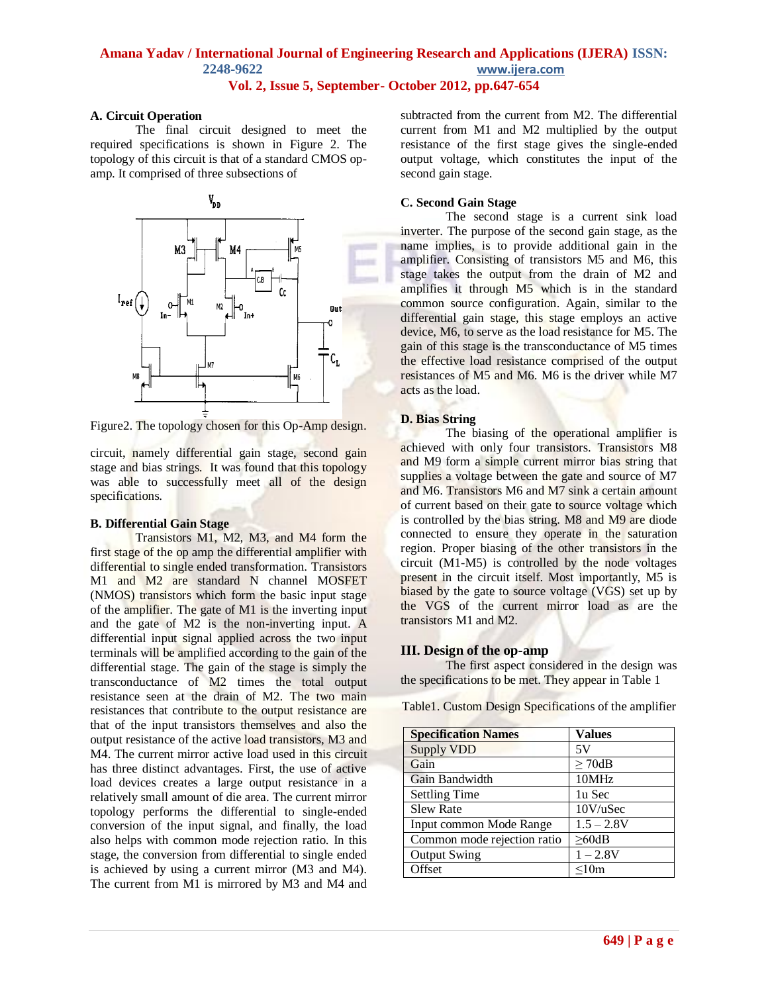#### **A. Circuit Operation**

The final circuit designed to meet the required specifications is shown in Figure 2. The topology of this circuit is that of a standard CMOS opamp. It comprised of three subsections of



Figure2. The topology chosen for this Op-Amp design.

circuit, namely differential gain stage, second gain stage and bias strings. It was found that this topology was able to successfully meet all of the design specifications.

### **B. Differential Gain Stage**

Transistors M1, M2, M3, and M4 form the first stage of the op amp the differential amplifier with differential to single ended transformation. Transistors M1 and M2 are standard N channel MOSFET (NMOS) transistors which form the basic input stage of the amplifier. The gate of M1 is the inverting input and the gate of M2 is the non-inverting input. A differential input signal applied across the two input terminals will be amplified according to the gain of the differential stage. The gain of the stage is simply the transconductance of M2 times the total output resistance seen at the drain of M2. The two main resistances that contribute to the output resistance are that of the input transistors themselves and also the output resistance of the active load transistors, M3 and M4. The current mirror active load used in this circuit has three distinct advantages. First, the use of active load devices creates a large output resistance in a relatively small amount of die area. The current mirror topology performs the differential to single-ended conversion of the input signal, and finally, the load also helps with common mode rejection ratio. In this stage, the conversion from differential to single ended is achieved by using a current mirror (M3 and M4). The current from M1 is mirrored by M3 and M4 and

subtracted from the current from M2. The differential current from M1 and M2 multiplied by the output resistance of the first stage gives the single-ended output voltage, which constitutes the input of the second gain stage.

#### **C. Second Gain Stage**

The second stage is a current sink load inverter. The purpose of the second gain stage, as the name implies, is to provide additional gain in the amplifier. Consisting of transistors M5 and M6, this stage takes the output from the drain of M2 and amplifies it through M5 which is in the standard common source configuration. Again, similar to the differential gain stage, this stage employs an active device, M6, to serve as the load resistance for M5. The gain of this stage is the transconductance of M5 times the effective load resistance comprised of the output resistances of M5 and M6. M6 is the driver while M7 acts as the load.

### **D. Bias String**

The biasing of the operational amplifier is achieved with only four transistors. Transistors M8 and M9 form a simple current mirror bias string that supplies a voltage between the gate and source of M7 and M6. Transistors M6 and M7 sink a certain amount of current based on their gate to source voltage which is controlled by the bias string. M8 and M9 are diode connected to ensure they operate in the saturation region. Proper biasing of the other transistors in the circuit (M1-M5) is controlled by the node voltages present in the circuit itself. Most importantly, M5 is biased by the gate to source voltage (VGS) set up by the VGS of the current mirror load as are the transistors M1 and M2.

### **III. Design of the op-amp**

The first aspect considered in the design was the specifications to be met. They appear in Table 1

Table1. Custom Design Specifications of the amplifier

| <b>Specification Names</b>  | <b>Values</b>           |
|-----------------------------|-------------------------|
| <b>Supply VDD</b>           | 5V                      |
| Gain                        | $\geq$ 70dB             |
| Gain Bandwidth              | 10MHz                   |
| <b>Settling Time</b>        | 1u Sec                  |
| <b>Slew Rate</b>            | $10V$ /uSec             |
| Input common Mode Range     | $\overline{1.5} - 2.8V$ |
| Common mode rejection ratio | $\geq$ 60dB             |
| <b>Output Swing</b>         | $1 - 2.8V$              |
| Offset                      | < 10m                   |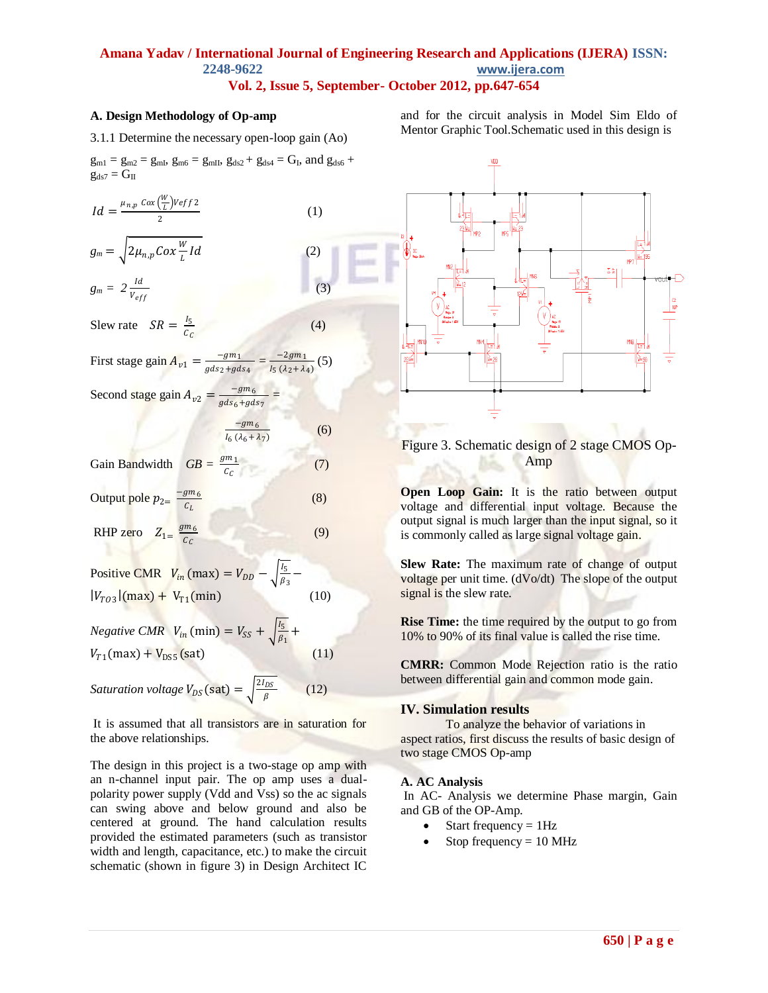#### **A. Design Methodology of Op-amp**

3.1.1 Determine the necessary open-loop gain (Ao)

 $g_{m1} = g_{m2} = g_{mI}$ ,  $g_{m6} = g_{mII}$ ,  $g_{ds2} + g_{ds4} = G_I$ , and  $g_{ds6} + g_{sl6}$  $g_{ds7} = G_{II}$ 

$$
Id = \frac{\mu_{n,p} \cos(\frac{W}{L}) Veff 2}{2}
$$

$$
g_m = \sqrt{2\mu_{n,p} \cos{\frac{W}{L}Id}}
$$
 (2)

 $g_m = 2 \frac{Id}{V_{eff}}$  $\sim$  (3)

Slew rate  $SR = \frac{I_5}{C}$  $c_{\mathcal{C}}$ 

First stage gain 
$$
A_{v1} = \frac{-gm_1}{gds_2 + gds_4} = \frac{-2gm_1}{I_5 (\lambda_2 + \lambda_4)}
$$
 (5)

Second stage gain  $A_{v2}$  =  $-gm_6$ gds<sub>6</sub>+gds<sub>7</sub>

$$
\frac{-gm_6}{I_6 (\lambda_6 + \lambda_7)}
$$

*=* 

(1)

 $(4)$ 

(6)

(8)

(9)

 $(10)$ 

 $(12)$ 

Gain Bandwidth GB =  $c_{\mathcal{C}}$ (7)

Output pole 
$$
p_{2} = \frac{-gm_6}{c_L}
$$

RHP zero  $Z_{1=}$  $gm<sub>6</sub>$  $c_{\mathcal{C}}$ 

Positive CMR 
$$
V_{in}(\text{max}) = V_{DD} - \sqrt{\frac{I_5}{\beta_3}} -
$$
  
\n $|V_{TO3}|(\text{max}) + V_{T1}(\text{min})$ 

*Negative CMR*  $V_{in}$  (min) =  $V_{SS} + \frac{1}{5}$  $\frac{15}{\beta_1}$  +  $V_{T1}$ (max) +  $V_{DS5}$ (sat) (11)

*Saturation voltage*  $V_{DS}$  (sat) =  $\int_{R}^{2I_{DS}}$ β

It is assumed that all transistors are in saturation for the above relationships.

The design in this project is a two-stage op amp with an n-channel input pair. The op amp uses a dualpolarity power supply (Vdd and Vss) so the ac signals can swing above and below ground and also be centered at ground. The hand calculation results provided the estimated parameters (such as transistor width and length, capacitance, etc.) to make the circuit schematic (shown in figure 3) in Design Architect IC

and for the circuit analysis in Model Sim Eldo of Mentor Graphic Tool.Schematic used in this design is



### Figure 3. Schematic design of 2 stage CMOS Op-Amp

**Open Loop Gain:** It is the ratio between output voltage and differential input voltage. Because the output signal is much larger than the input signal, so it is commonly called as large signal voltage gain.

**Slew Rate:** The maximum rate of change of output voltage per unit time. (dVo/dt) The slope of the output signal is the slew rate.

**Rise Time:** the time required by the output to go from 10% to 90% of its final value is called the rise time.

**CMRR:** Common Mode Rejection ratio is the ratio between differential gain and common mode gain.

#### **IV. Simulation results**

To analyze the behavior of variations in aspect ratios, first discuss the results of basic design of two stage CMOS Op-amp

#### **A. AC Analysis**

In AC- Analysis we determine Phase margin, Gain and GB of the OP-Amp.

- $\bullet$  Start frequency = 1Hz
- Stop frequency  $= 10$  MHz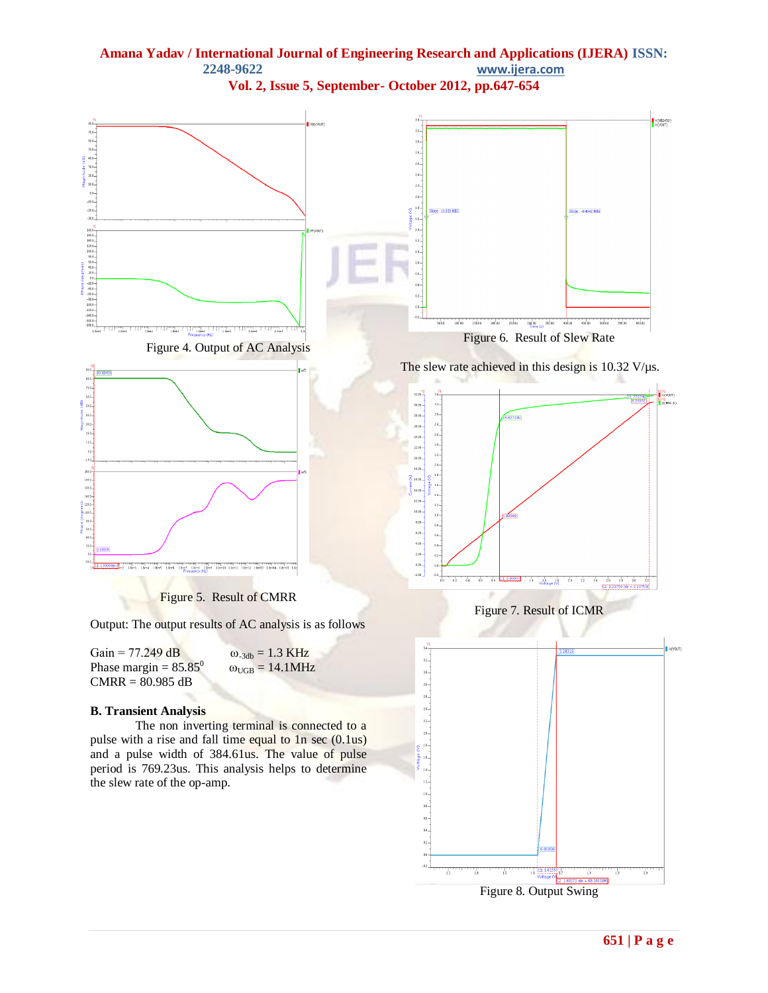

Figure 8. Output Swing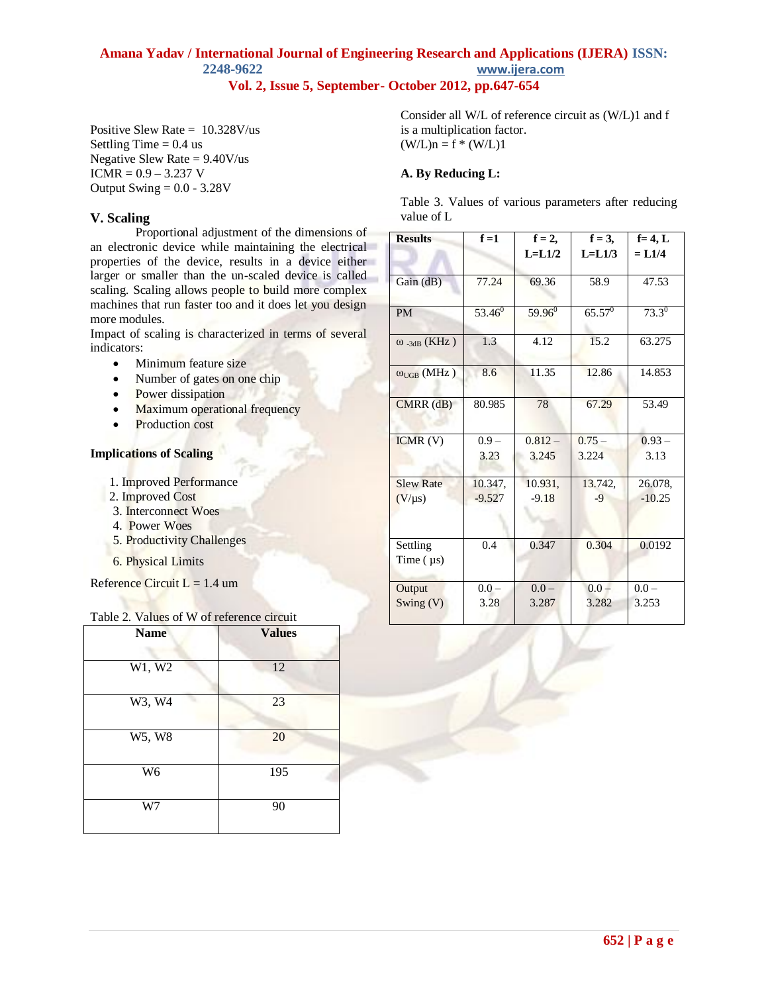Positive Slew Rate = 10.328V/us Settling Time  $= 0.4$  us Negative Slew Rate  $= 9.40V$ /us  $ICMR = 0.9 - 3.237 V$ Output Swing  $= 0.0 - 3.28V$ 

### **V. Scaling**

Proportional adjustment of the dimensions of an electronic device while maintaining the electrical properties of the device, results in a device either larger or smaller than the un-scaled device is called scaling. Scaling allows people to build more complex machines that run faster too and it does let you design more modules.

Impact of scaling is characterized in terms of several indicators:

- Minimum feature size
- Number of gates on one chip
- Power dissipation
- Maximum operational frequency
- Production cost

### **Implications of Scaling**

- 1. Improved Performance
- 2. Improved Cost
- 3. Interconnect Woes
- 4. Power Woes
- 5. Productivity Challenges
- 6. Physical Limits

Reference Circuit  $L = 1.4$  um

### Table 2. Values of W of reference circuit

| <b>Name</b>          | <b>Values</b> |
|----------------------|---------------|
| W1, W2               | 12            |
| W3, W4               | 23            |
| $\overline{W5}$ , W8 | 20            |
| W <sub>6</sub>       | 195           |
| W7                   | 90            |

Consider all W/L of reference circuit as (W/L)1 and f is a multiplication factor.  $(W/L)n = f * (W/L)1$ 

#### **A. By Reducing L:**

Table 3. Values of various parameters after reducing value of L

| <b>Results</b>                 | $f=1$     | $f = 2$ ,   | $f = 3$ ,   | $f=4, L$   |
|--------------------------------|-----------|-------------|-------------|------------|
|                                |           | $L = L1/2$  | $L = L1/3$  | $= L1/4$   |
| Gain (dB)                      | 77.24     | 69.36       | 58.9        | 47.53      |
| <b>PM</b>                      | $53.46^0$ | $59.96^{0}$ | $65.57^{0}$ | $73.3^{0}$ |
| $\omega$ <sub>-3dB</sub> (KHz) | 1.3       | 4.12        | 15.2        | 63.275     |
| $\omega_{\text{UGB}}$ (MHz)    | 8.6       | 11.35       | 12.86       | 14.853     |
| $CMRR$ $(dB)$                  | 80.985    | 78          | 67.29       | 53.49      |
| ICMR(V)                        | $0.9 -$   | $0.812 -$   | $0.75 -$    | $0.93 -$   |
|                                | 3.23      | 3.245       | 3.224       | 3.13       |
| <b>Slew Rate</b>               | 10.347,   | 10.931,     | 13.742,     | 26.078,    |
| $(V/\mu s)$                    | $-9.527$  | $-9.18$     | $-9$        | $-10.25$   |
| Settling<br>Time $(\mu s)$     | 0.4       | 0.347       | 0.304       | 0.0192     |
| Output                         | $0.0 -$   | $0.0 -$     | $0.0 -$     | $0.0 -$    |
| Swing (V)                      | 3.28      | 3.287       | 3.282       | 3.253      |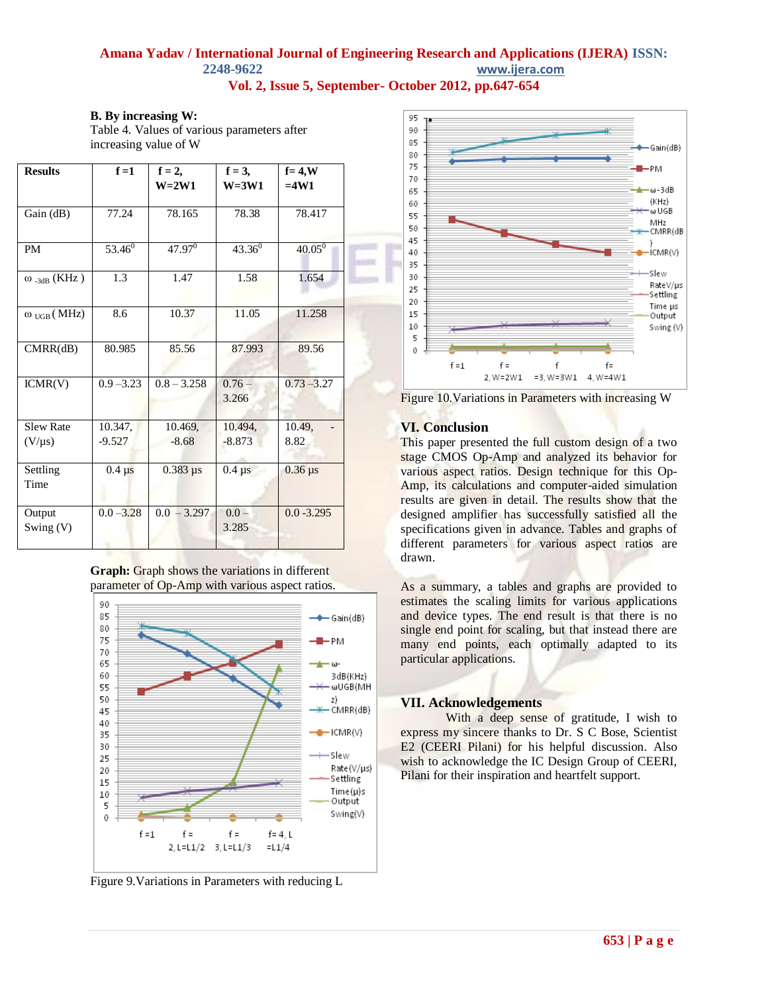**B. By increasing W:** Table 4. Values of various parameters after increasing value of W

| <b>Results</b>                    | $f=1$        | $f = 2$ ,<br>$W=2W1$ | $f = 3$ ,<br>$W = 3W1$ | $f = 4$ , W<br>$=4W1$   |
|-----------------------------------|--------------|----------------------|------------------------|-------------------------|
| Gain (dB)                         | 77.24        | 78.165               | 78.38                  | 78.417                  |
| <b>PM</b>                         | $53.46^0$    | $47.97^{0}$          | $43.36^{0}$            | $40.05^{0}$             |
| $\omega$ <sub>-3dB</sub> (KHz)    | 1.3          | 1.47                 | 1.58                   | 1.654                   |
| $\omega_{\text{UGB}}(\text{MHz})$ | 8.6          | 10.37                | 11.05                  | 11.258                  |
| CMRR(dB)                          | 80.985       | 85.56                | 87.993                 | 89.56                   |
| ICMR(V)                           | $0.9 - 3.23$ | $0.8 - 3.258$        | $0.76 -$<br>3.266      | $0.73 - 3.27$           |
| <b>Slew Rate</b>                  | 10.347,      | 10.469,              | 10.494,                | 10.49,                  |
| $(V/\mu s)$                       | $-9.527$     | $-8.68$              | $-8.873$               | 8.82                    |
| Settling<br>Time                  | $0.4 \mu s$  | $0.383 \,\mu s$      | $0.4 \mu s$            | $0.36 \,\mathrm{\mu s}$ |
| Output<br>Swing (V)               | $0.0 - 3.28$ | $0.0 - 3.297$        | $0.0 -$<br>3.285       | $0.0 - 3.295$           |

**Graph:** Graph shows the variations in different parameter of Op-Amp with various aspect ratios.



Figure 9.Variations in Parameters with reducing L



Figure 10.Variations in Parameters with increasing W

### **VI. Conclusion**

This paper presented the full custom design of a two stage CMOS Op-Amp and analyzed its behavior for various aspect ratios. Design technique for this Op-Amp, its calculations and computer-aided simulation results are given in detail. The results show that the designed amplifier has successfully satisfied all the specifications given in advance. Tables and graphs of different parameters for various aspect ratios are drawn.

As a summary, a tables and graphs are provided to estimates the scaling limits for various applications and device types. The end result is that there is no single end point for scaling, but that instead there are many end points, each optimally adapted to its particular applications*.*

### **VII. Acknowledgements**

With a deep sense of gratitude, I wish to express my sincere thanks to Dr. S C Bose, Scientist E2 (CEERI Pilani) for his helpful discussion. Also wish to acknowledge the IC Design Group of CEERI, Pilani for their inspiration and heartfelt support.